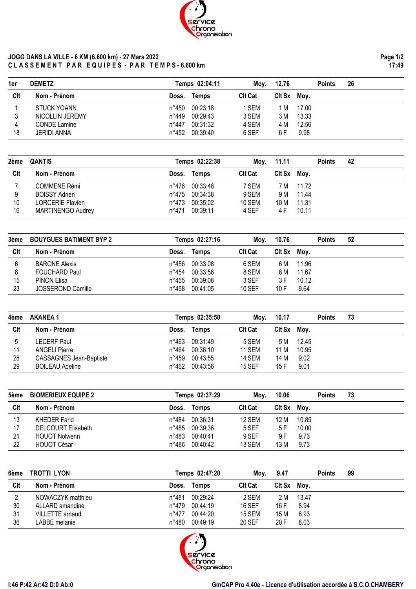

## **JOGG DANS LA VILLE - 6 KM (6.600 km) - 27 Mars 2022 C L A S S E M E N T P A R E Q U I P E S - P A R T E M P S - 6.600 km**

| 1er | <b>DEMETZ</b>       |                | Temps 02:04:11 | Mov.           | 12.76  |       | <b>Points</b> | 26 |
|-----|---------------------|----------------|----------------|----------------|--------|-------|---------------|----|
| Clt | Nom - Prénom        | Doss.          | Temps          | <b>CIt Cat</b> | CIt Sx | Moy.  |               |    |
|     | STUCK YOANN         | n°450          | 00:23:18       | 1 SEM          | 1 M    | 17.00 |               |    |
|     | NICOLLIN JEREMY     | n°449          | 00:29:43       | 3 SEM          | 3 M    | 13.33 |               |    |
| 4   | <b>CONDE Lamine</b> | $n^{\circ}447$ | 00:31:32       | 4 SEM          | 4 M    | 12.56 |               |    |
| 18  | JERIDI ANNA         | n°452          | 00:39:40       | 6 SEF          | 6 F    | 9.98  |               |    |

| 2ème | <b>QANTIS</b>            |       | Temps 02:22:38 | Mov.           | 11.11  |       | <b>Points</b> | 42 |  |
|------|--------------------------|-------|----------------|----------------|--------|-------|---------------|----|--|
| Clt  | Nom - Prénom             | Doss. | Temps          | <b>Clt Cat</b> | CIt Sx | Moy.  |               |    |  |
|      | <b>COMMENE Rémi</b>      | n°476 | 00:33:48       | 7 SEM          | 7 M    | 11.72 |               |    |  |
|      | <b>BOISSY Adrien</b>     | n°475 | 00:34:38       | 9 SEM          | 9 M    | 11.44 |               |    |  |
| 10   | LORCERIE Flavien         | n°473 | 00:35:02       | <b>10 SEM</b>  | 10 M   | 11.31 |               |    |  |
| 16   | <b>MARTINENGO Audrey</b> | n°471 | 00:39:11       | 4 SEF          | 4 F    | 10.11 |               |    |  |

| 3ème | <b>BOUYGUES BATIMENT BYP 2</b> |       | Temps 02:27:16 | Mov.           | 10.76  |       | <b>Points</b> | 52 |  |
|------|--------------------------------|-------|----------------|----------------|--------|-------|---------------|----|--|
| Clt  | Nom - Prénom                   | Doss. | Temps          | <b>Clt Cat</b> | Clt Sx | Mov.  |               |    |  |
|      | <b>BARONE Alexis</b>           | n°456 | 00:33:08       | 6 SEM          | 6 M    | 11.96 |               |    |  |
|      | <b>FOUCHARD Paul</b>           | n°454 | 00:33:56       | 8 SEM          | 8 M    | 11.67 |               |    |  |
| 15   | <b>PINON Elisa</b>             | n°455 | 00:39:08       | 3 SEF          | 3 F    | 10.12 |               |    |  |
| 23   | JOSSEROND Camille              | n°458 | 00:41:05       | 10 SEF         | 10 F   | 9.64  |               |    |  |

| 4ème | AKANEA 1                       |       | Temps 02:35:50 | Mov.           | 10.17       |       | <b>Points</b> | 73 |  |
|------|--------------------------------|-------|----------------|----------------|-------------|-------|---------------|----|--|
| Clt  | Nom - Prénom                   | Doss. | Temps          | <b>Clt Cat</b> | Cit Sx Moy. |       |               |    |  |
|      | LECERF Paul                    | n°463 | 00:31:49       | 5 SEM          | 5 M         | 12.45 |               |    |  |
| 11   | <b>ANGELI Pierre</b>           | n°464 | 00:36:10       | <b>11 SEM</b>  | 11 M        | 10.95 |               |    |  |
| 28   | <b>CASSAGNES Jean-Baptiste</b> | n°459 | 00:43:55       | <b>14 SEM</b>  | 14 M        | 9.02  |               |    |  |
| 29   | <b>BOILEAU Adeline</b>         | n°462 | 00:43:56       | <b>15 SEF</b>  | 15F         | 9.01  |               |    |  |

| 5ème       | <b>BIOMERIEUX EQUIPE 2</b> |       | Temps 02:37:29 |                | 10.06<br>Mov. |       | <b>Points</b> | 73 |  |
|------------|----------------------------|-------|----------------|----------------|---------------|-------|---------------|----|--|
| <b>CIt</b> | Nom - Prénom               | Doss. | Temps          | <b>Clt Cat</b> | CIt Sx        | Mov.  |               |    |  |
| 13         | KHEDER Farid               | n°484 | 00:36:31       | 12 SEM         | 12 M          | 10.85 |               |    |  |
| 17         | <b>DELCOURT Elisabeth</b>  | n°485 | 00:39:36       | 5 SEF          | 5 F           | 10.00 |               |    |  |
| 21         | <b>HOUOT Nolwenn</b>       | n°483 | 00:40:41       | 9 SEF          | 9 F           | 9.73  |               |    |  |
| 22         | <b>HOUOT César</b>         | n°486 | 00:40:42       | 13 SEM         | 13 M          | 9.73  |               |    |  |

| 6ème | TROTTI LYON       |       | Temps 02:47:20 | Moy.           | 9.47        |       | <b>Points</b> | 99 |
|------|-------------------|-------|----------------|----------------|-------------|-------|---------------|----|
| Clt  | Nom - Prénom      | Doss. | <b>Temps</b>   | <b>Clt Cat</b> | Cit Sx Moy. |       |               |    |
|      | NOWACZYK matthieu | n°481 | 00:29:24       | 2 SEM          | 2 M         | 13.47 |               |    |
| 30   | ALLARD amandine   | n°479 | 00:44:19       | <b>16 SEF</b>  | 16 F        | 8.94  |               |    |
| 31   | VILLETTE arnaud   | n°477 | 00:44:20       | 15 SEM         | 15 M        | 8.93  |               |    |
| 36   | LABBE melanie     | n°480 | 00:49:19       | 20 SEF         | 20 F        | 8.03  |               |    |